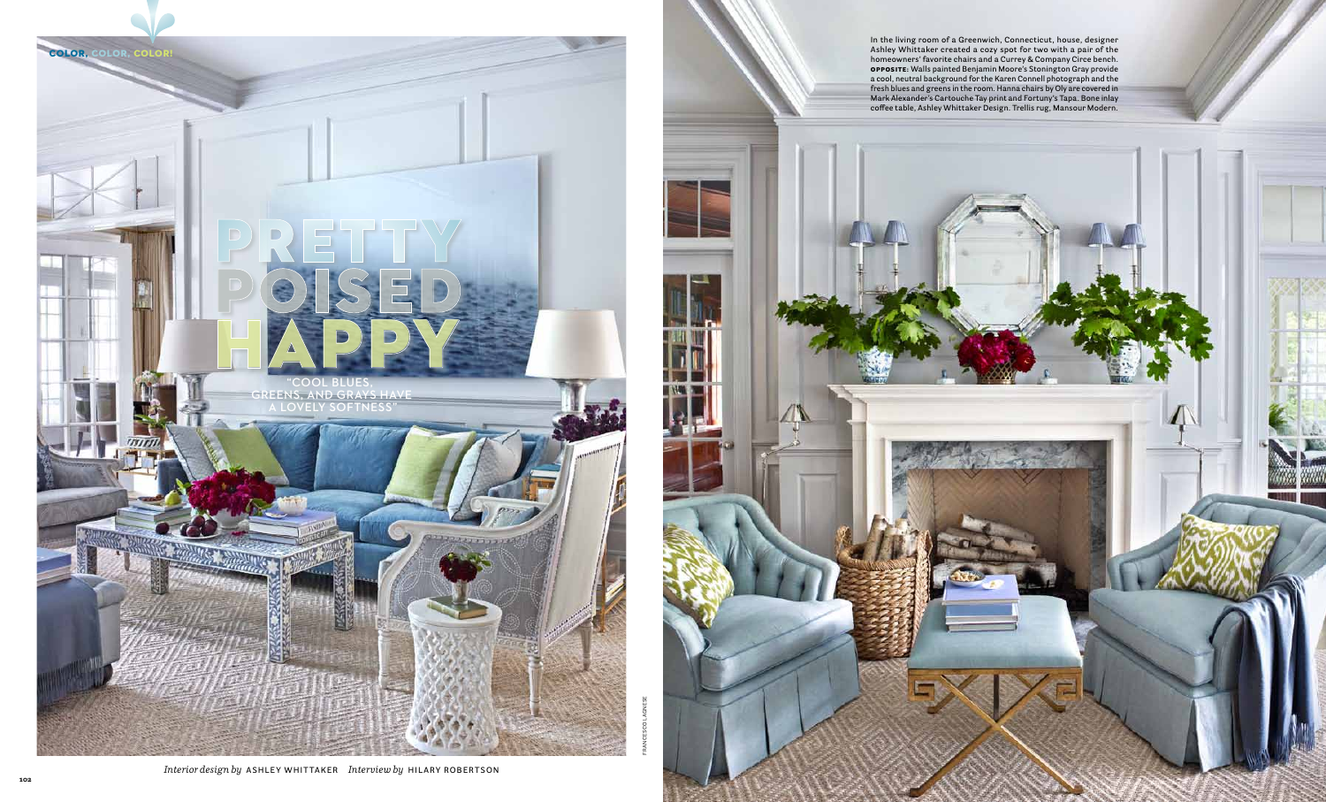**In the living room of a Greenwich, Connecticut, house, designer Ashley Whittaker created a cozy spot for two with a pair of the homeowners' favorite chairs and a Currey & Company Circe bench.**  Opposite: **Walls painted Benjamin Moore's Stonington Gray provide a cool, neutral background for the Karen Connell photograph and the fresh blues and greens in the room. Hanna chairs by Oly are covered in Mark Alexander's Cartouche Tay print and Fortuny's Tapa. Bone inlay coffee table, Ashley Whittaker Design. Trellis rug, Mansour Modern.** 

Francesco Lagnese



*Interior design by* **Ashley Whittaker** *Interview by* **Hil ary Robertson**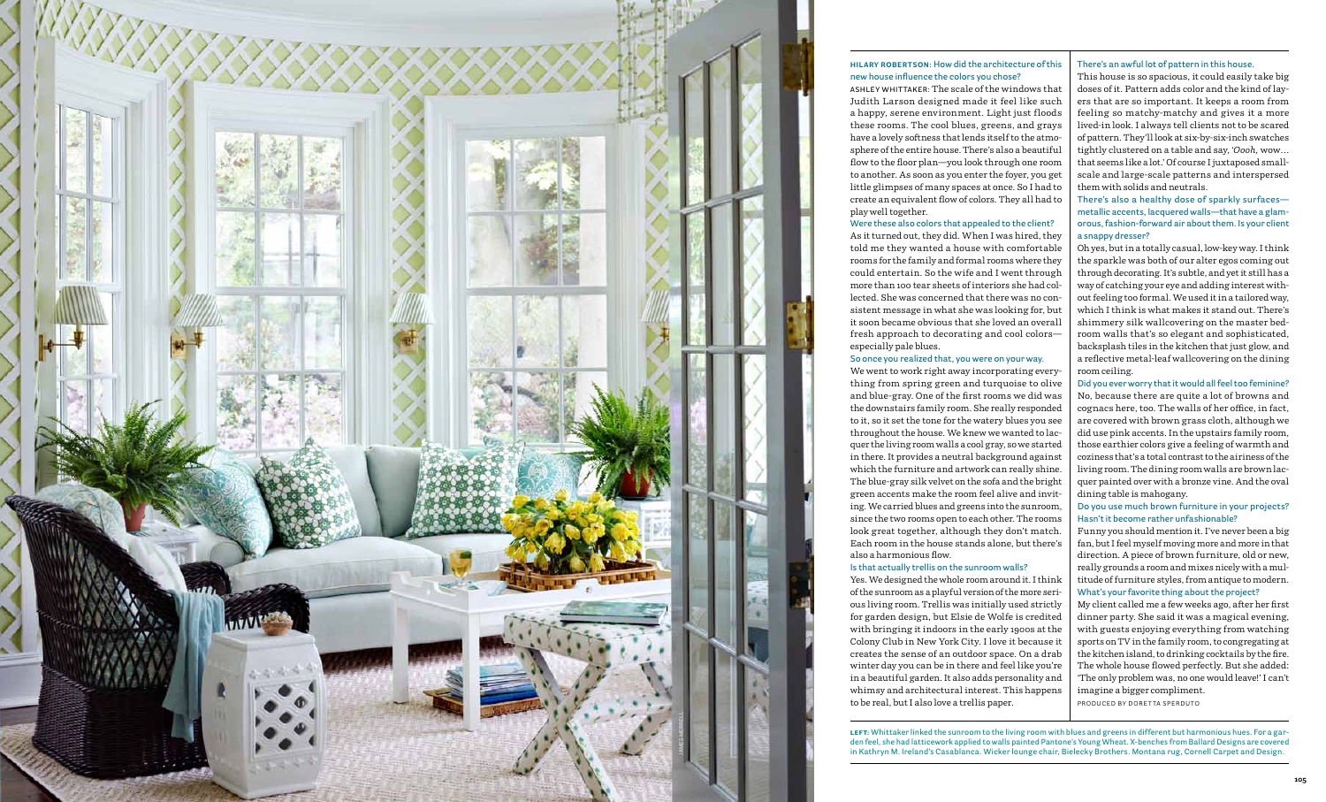# **Hilary Robertson: How did the architecture of this new house influence the colors you chose?**

**Ashley Whittaker:** The scale of the windows that Judith Larson designed made it feel like such a happy, serene environment. Light just floods these rooms. The cool blues, greens, and grays have a lovely softness that lends itself to the atmosphere of the entire house. There's also a beautiful flow to the floor plan—you look through one room to another. As soon as you enter the foyer, you get little glimpses of many spaces at once. So I had to create an equivalent flow of colors. They all had to

play well together.

### **Were these also colors that appealed to the client?**

As it turned out, they did. When I was hired, they told me they wanted a house with comfortable rooms for the family and formal rooms where they could entertain. So the wife and I went through more than 100 tear sheets of interiors she had collected. She was concerned that there was no consistent message in what she was looking for, but it soon became obvious that she loved an overall fresh approach to decorating and cool colors especially pale blues. **So once you realized that, you were on your way.** 

We went to work right away incorporating everything from spring green and turquoise to olive and blue-gray. One of the first rooms we did was the downstairs family room. She really responded to it, so it set the tone for the watery blues you see throughout the house. We knew we wanted to lacquer the living room walls a cool gray, so we started in there. It provides a neutral background against which the furniture and artwork can really shine. The blue-gray silk velvet on the sofa and the bright green accents make the room feel alive and inviting. We carried blues and greens into the sunroom, since the two rooms open to each other. The rooms look great together, although they don't match. Each room in the house stands alone, but there's also a harmonious flow. **Is that actually trellis on the sunroom walls?**  Yes. We designed the whole room around it. I think

of the sunroom as a playful version of the more serious living room. Trellis was initially used strictly for garden design, but Elsie de Wolfe is credited with bringing it indoors in the early 1900s at the Colony Club in New York City. I love it because it creates the sense of an outdoor space. On a drab winter day you can be in there and feel like you're in a beautiful garden. It also adds personality and whimsy and architectural interest. This happens to be real, but I also love a trellis paper.

### **There's an awful lot of pattern in this house.**

This house is so spacious, it could easily take big doses of it. Pattern adds color and the kind of layers that are so important. It keeps a room from feeling so matchy-matchy and gives it a more lived-in look. I always tell clients not to be scared of pattern. They'll look at six-by-six-inch swatches tightly clustered on a table and say, '*Oooh,* wow... that seems like a lot.' Of course I juxtaposed smallscale and large-scale patterns and interspersed them with solids and neutrals.

**There's also a healthy dose of sparkly surfaces metallic accents, lacquered walls—that have a glamorous, fashion-forward air about them. Is your client a snappy dresser?** 

Oh yes, but in a totally casual, low-key way. I think the sparkle was both of our alter egos coming out through decorating. It's subtle, and yet it still has a way of catching your eye and adding interest without feeling too formal. We used it in a tailored way, which I think is what makes it stand out. There's shimmery silk wallcovering on the master bedroom walls that's so elegant and sophisticated, backsplash tiles in the kitchen that just glow, and a reflective metal-leaf wallcovering on the dining room ceiling.

**Did you ever worry that it would all feel too feminine?**  No, because there are quite a lot of browns and cognacs here, too. The walls of her office, in fact, are covered with brown grass cloth, although we did use pink accents. In the upstairs family room, those earthier colors give a feeling of warmth and coziness that's a total contrast to the airiness of the living room. The dining room walls are brown lacquer painted over with a bronze vine. And the oval dining table is mahogany.

## **Do you use much brown furniture in your projects? Hasn't it become rather unfashionable?**

Funny you should mention it. I've never been a big fan, but I feel myself moving more and more in that direction. A piece of brown furniture, old or new, really grounds a room and mixes nicely with a multitude of furniture styles, from antique to modern. **What's your favorite thing about the project?**

My client called me a few weeks ago, after her first dinner party. She said it was a magical evening, with guests enjoying everything from watching sports on TV in the family room, to congregating at the kitchen island, to drinking cocktails by the fire. The whole house flowed perfectly. But she added: 'The only problem was, no one would leave!' I can't imagine a bigger compliment.

left: **Whittaker linked the sunroom to the living room with blues and greens in different but harmonious hues. For a garden feel, she had latticework applied to walls painted Pantone's Young Wheat. X-benches from Ballard Designs are covered in Kathryn M. Ireland's Casablanca. Wicker lounge chair, Bielecky Brothers. Montana rug, Cornell Carpet and Design.** 

Produced by doretta sperduto

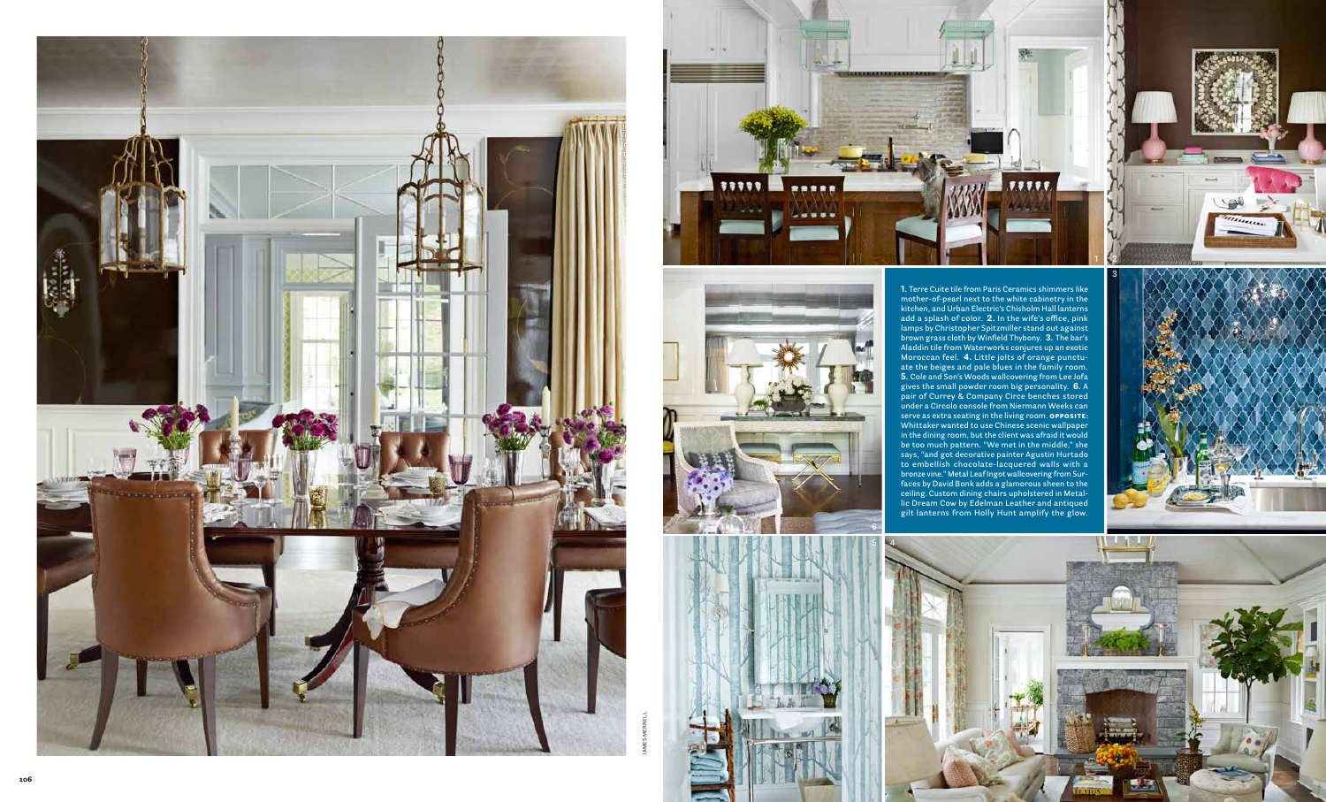**1. Terre Cuite tile from Paris Ceramics shimmers like mother-of-pearl next to the white cabinetry in the kitchen, and Urban Electric's Chisholm Hall lanterns add a splash of color. 2. In the wife's office, pink lamps by Christopher Spitzmiller stand out against brown grass cloth by Winfield Thybony. 3. The bar's Aladdin tile from Waterworks conjures up an exotic Moroccan feel. 4. Little jolts of orange punctu ate the beiges and pale blues in the family room. 5. Cole and Son's Woods wallcovering from Lee Jofa gives the small powder room big personality. 6. A pair of Currey & Company Circe benches stored under a Circolo console from Niermann Weeks can serve as extra seating in the living room.** Opp osite: **Whittaker wanted to use Chinese scenic wallpaper in the dining room, but the client was afraid it would be too much pattern. "We met in the middle," she says, "and got decorative painter Agustin Hurtado to embellish chocolate-lacquered walls with a bronze vine." Metal Leaf Ingot wallcovering from Sur faces by David Bonk adds a glamorous sheen to the ceiling. Custom dining chairs upholstered in Metal lic Dream Cow by Edelman Leather and antiqued gilt lanterns from Holly Hunt amplify the glow.**



james merrell







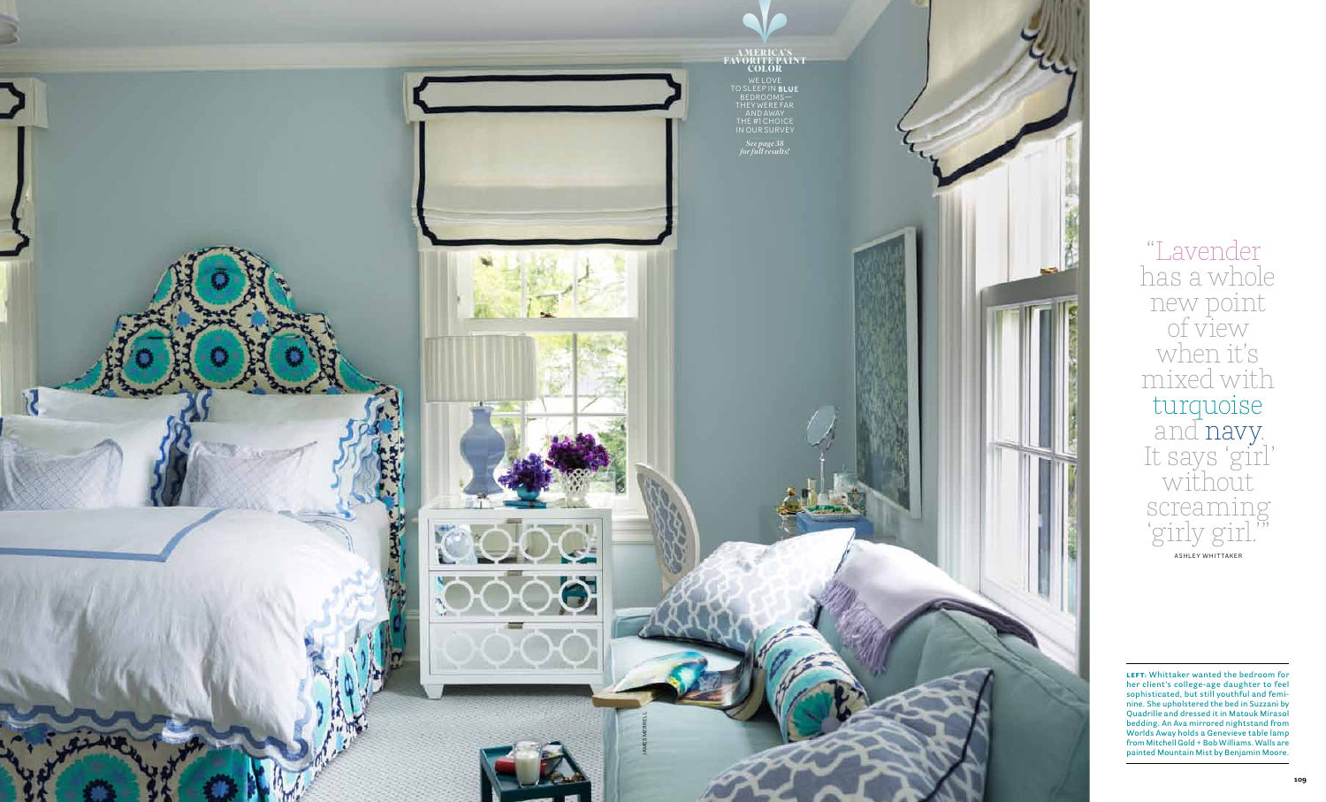LEFT: Whittaker wanted the bedroom for **her client's college-age daughter to feel sophisticated, but still youthful and femi nine. She upholstered the bed in Suzzani by Quadrille and dressed it in Matouk Mirasol bedding. An Ava mirrored nightstand from Worlds Away holds a Genevieve table lamp from Mitchell Gold + Bob Williams. Walls are** 

"Lavender<br>has a whole<br>new point<br>of view<br>when it's<br>mixed with<br>turquoise<br>and navy.<br>It says 'girl'<br>Without<br>SCTeaming<br>SCTeaming<br>"Without<br>"SCTEAMING"<br>"SCTEAMING"<br>"SCTEAMING"<br>"SCTEAMING"<br>"CONDING ANALY CONDING A CONDING A CONDIN has a whole new point of view when it's mixed with turquoise and navy.<br>It says 'girl' without screaming 'girly girl.'"

Ashley Whittaker